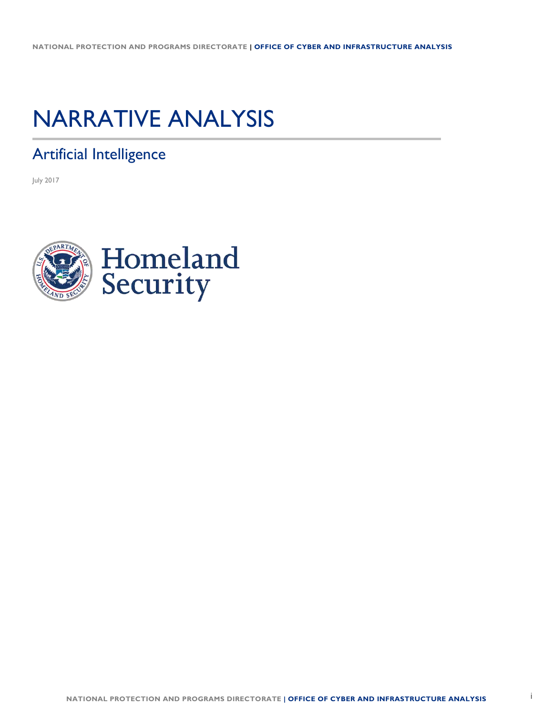# NARRATIVE ANALYSIS

# Artificial Intelligence

July 2017

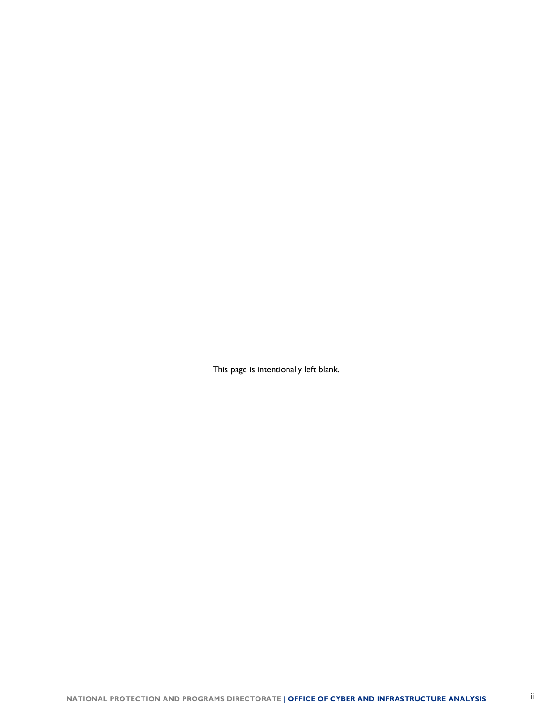This page is intentionally left blank.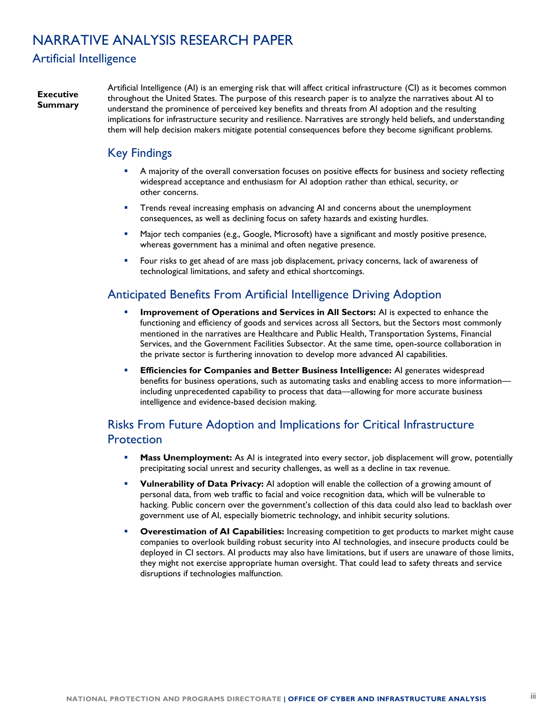# NARRATIVE ANALYSIS RESEARCH PAPER

# Artificial Intelligence

#### **Executive Summary**

Artificial Intelligence (AI) is an emerging risk that will affect critical infrastructure (CI) as it becomes common throughout the United States. The purpose of this research paper is to analyze the narratives about AI to understand the prominence of perceived key benefits and threats from AI adoption and the resulting implications for infrastructure security and resilience. Narratives are strongly held beliefs, and understanding them will help decision makers mitigate potential consequences before they become significant problems.

# Key Findings

- A majority of the overall conversation focuses on positive effects for business and society reflecting widespread acceptance and enthusiasm for AI adoption rather than ethical, security, or other concerns.
- Trends reveal increasing emphasis on advancing AI and concerns about the unemployment consequences, as well as declining focus on safety hazards and existing hurdles.
- Major tech companies (e.g., Google, Microsoft) have a significant and mostly positive presence, whereas government has a minimal and often negative presence.
- Four risks to get ahead of are mass job displacement, privacy concerns, lack of awareness of technological limitations, and safety and ethical shortcomings.

# Anticipated Benefits From Artificial Intelligence Driving Adoption

- **Improvement of Operations and Services in All Sectors:** AI is expected to enhance the functioning and efficiency of goods and services across all Sectors, but the Sectors most commonly mentioned in the narratives are Healthcare and Public Health, Transportation Systems, Financial Services, and the Government Facilities Subsector. At the same time, open-source collaboration in the private sector is furthering innovation to develop more advanced AI capabilities.
- **Efficiencies for Companies and Better Business Intelligence:** AI generates widespread benefits for business operations, such as automating tasks and enabling access to more information including unprecedented capability to process that data—allowing for more accurate business intelligence and evidence-based decision making.

# Risks From Future Adoption and Implications for Critical Infrastructure **Protection**

- **Mass Unemployment:** As AI is integrated into every sector, job displacement will grow, potentially precipitating social unrest and security challenges, as well as a decline in tax revenue.
- **Vulnerability of Data Privacy:** AI adoption will enable the collection of a growing amount of personal data, from web traffic to facial and voice recognition data, which will be vulnerable to hacking. Public concern over the government's collection of this data could also lead to backlash over government use of AI, especially biometric technology, and inhibit security solutions.
- **Overestimation of AI Capabilities:** Increasing competition to get products to market might cause companies to overlook building robust security into AI technologies, and insecure products could be deployed in CI sectors. AI products may also have limitations, but if users are unaware of those limits, they might not exercise appropriate human oversight. That could lead to safety threats and service disruptions if technologies malfunction.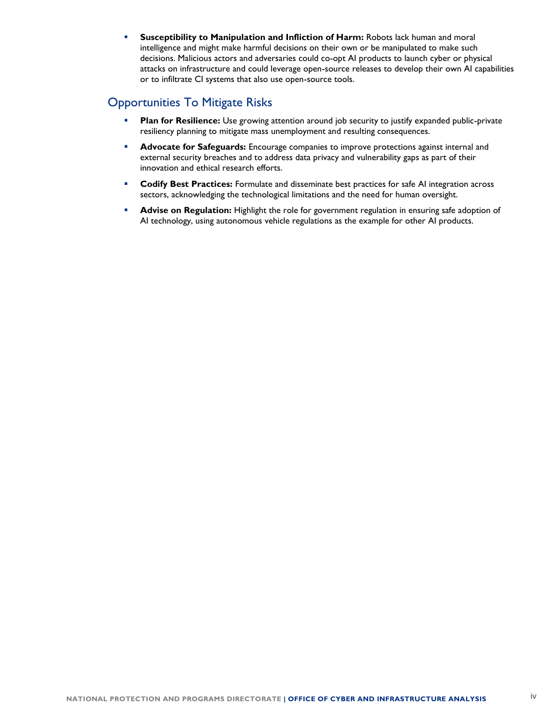**Susceptibility to Manipulation and Infliction of Harm:** Robots lack human and moral intelligence and might make harmful decisions on their own or be manipulated to make such decisions. Malicious actors and adversaries could co-opt AI products to launch cyber or physical attacks on infrastructure and could leverage open-source releases to develop their own AI capabilities or to infiltrate CI systems that also use open-source tools.

# Opportunities To Mitigate Risks

- **Plan for Resilience:** Use growing attention around job security to justify expanded public-private resiliency planning to mitigate mass unemployment and resulting consequences.
- **Advocate for Safeguards:** Encourage companies to improve protections against internal and external security breaches and to address data privacy and vulnerability gaps as part of their innovation and ethical research efforts.
- **Codify Best Practices:** Formulate and disseminate best practices for safe AI integration across sectors, acknowledging the technological limitations and the need for human oversight.
- **Advise on Regulation:** Highlight the role for government regulation in ensuring safe adoption of AI technology, using autonomous vehicle regulations as the example for other AI products.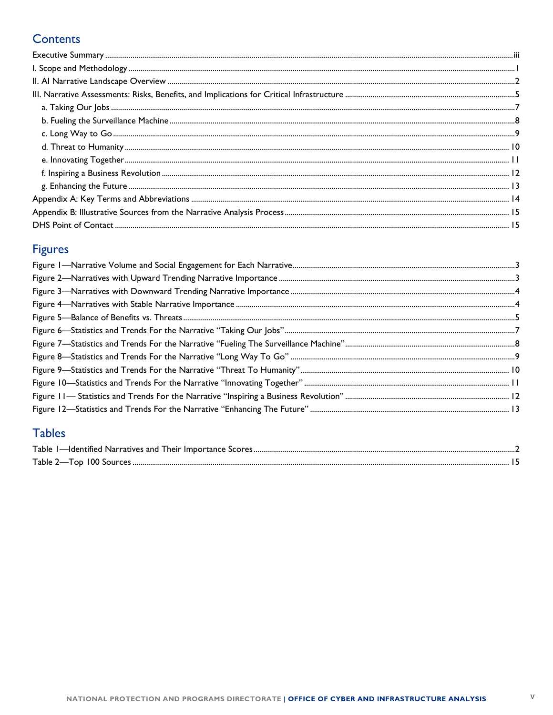# Contents

# **Figures**

# **Tables**

| Tahle I<br>$\_$ dontifiod<br>d Narratives and Their Importanc |  |
|---------------------------------------------------------------|--|
| T <sub>ab</sub> ln 2T <sub>a</sub><br>٬۵۸ ۱۸۵                 |  |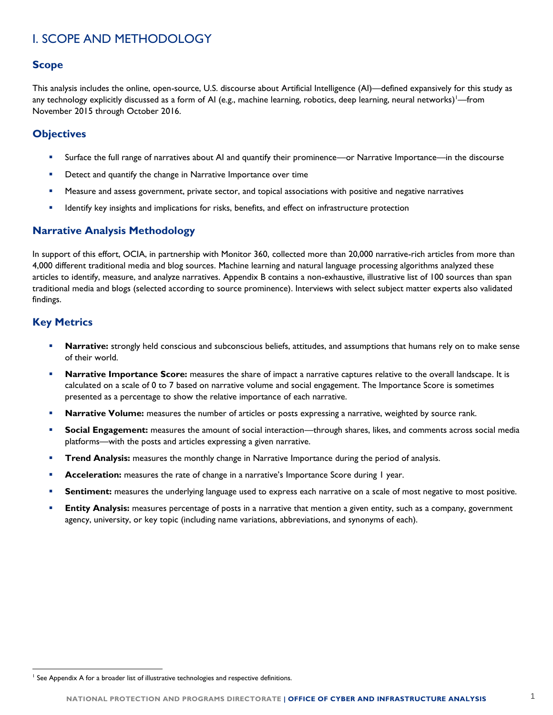# I. SCOPE AND METHODOLOGY

### **Scope**

This analysis includes the online, open-source, U.S. discourse about Artificial Intelligence (AI)—defined expansively for this study as any technology explicitly discussed as a form of AI (e.g., machine learning, robotics, deep learning, neural networks) $-$ from November 2015 through October 2016.

### **Objectives**

- Surface the full range of narratives about AI and quantify their prominence—or Narrative Importance—in the discourse
- Detect and quantify the change in Narrative Importance over time
- Measure and assess government, private sector, and topical associations with positive and negative narratives
- Identify key insights and implications for risks, benefits, and effect on infrastructure protection

### **Narrative Analysis Methodology**

In support of this effort, OCIA, in partnership with Monitor 360, collected more than 20,000 narrative-rich articles from more than 4,000 different traditional media and blog sources. Machine learning and natural language processing algorithms analyzed these articles to identify, measure, and analyze narratives. Appendix B contains a non-exhaustive, illustrative list of 100 sources than span traditional media and blogs (selected according to source prominence). Interviews with select subject matter experts also validated findings.

### **Key Metrics**

- **Narrative:** strongly held conscious and subconscious beliefs, attitudes, and assumptions that humans rely on to make sense of their world.
- **Narrative Importance Score:** measures the share of impact a narrative captures relative to the overall landscape. It is calculated on a scale of 0 to 7 based on narrative volume and social engagement. The Importance Score is sometimes presented as a percentage to show the relative importance of each narrative.
- **Narrative Volume:** measures the number of articles or posts expressing a narrative, weighted by source rank.
- **Social Engagement:** measures the amount of social interaction—through shares, likes, and comments across social media platforms—with the posts and articles expressing a given narrative.
- **Trend Analysis:** measures the monthly change in Narrative Importance during the period of analysis.
- **Acceleration:** measures the rate of change in a narrative's Importance Score during 1 year.
- **Sentiment:** measures the underlying language used to express each narrative on a scale of most negative to most positive.
- **Entity Analysis:** measures percentage of posts in a narrative that mention a given entity, such as a company, government agency, university, or key topic (including name variations, abbreviations, and synonyms of each).

<sup>&</sup>lt;sup>1</sup> See Appendix A for a broader list of illustrative technologies and respective definitions.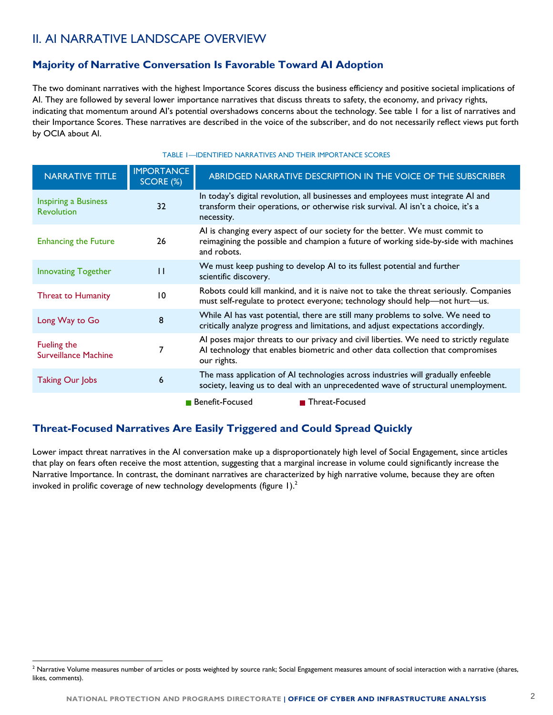# II. AI NARRATIVE LANDSCAPE OVERVIEW

## **Majority of Narrative Conversation Is Favorable Toward AI Adoption**

The two dominant narratives with the highest Importance Scores discuss the business efficiency and positive societal implications of AI. They are followed by several lower importance narratives that discuss threats to safety, the economy, and privacy rights, indicating that momentum around AI's potential overshadows concerns about the technology. See table 1 for a list of narratives and their Importance Scores. These narratives are described in the voice of the subscriber, and do not necessarily reflect views put forth by OCIA about AI.

| <b>NARRATIVE TITLE</b>                           | <b>IMPORTANCE</b><br>SCORE (%) | ABRIDGED NARRATIVE DESCRIPTION IN THE VOICE OF THE SUBSCRIBER                                                                                                                             |  |  |  |
|--------------------------------------------------|--------------------------------|-------------------------------------------------------------------------------------------------------------------------------------------------------------------------------------------|--|--|--|
| <b>Inspiring a Business</b><br><b>Revolution</b> | 32                             | In today's digital revolution, all businesses and employees must integrate AI and<br>transform their operations, or otherwise risk survival. Al isn't a choice, it's a<br>necessity.      |  |  |  |
| <b>Enhancing the Future</b>                      | 26                             | Al is changing every aspect of our society for the better. We must commit to<br>reimagining the possible and champion a future of working side-by-side with machines<br>and robots.       |  |  |  |
| <b>Innovating Together</b>                       | $\mathbf{H}$                   | We must keep pushing to develop AI to its fullest potential and further<br>scientific discovery.                                                                                          |  |  |  |
| <b>Threat to Humanity</b>                        | 10                             | Robots could kill mankind, and it is naive not to take the threat seriously. Companies<br>must self-regulate to protect everyone; technology should help-not hurt-us.                     |  |  |  |
| Long Way to Go                                   | 8                              | While AI has vast potential, there are still many problems to solve. We need to<br>critically analyze progress and limitations, and adjust expectations accordingly.                      |  |  |  |
| Fueling the<br><b>Surveillance Machine</b>       | 7                              | Al poses major threats to our privacy and civil liberties. We need to strictly regulate<br>Al technology that enables biometric and other data collection that compromises<br>our rights. |  |  |  |
| <b>Taking Our Jobs</b>                           | 6                              | The mass application of AI technologies across industries will gradually enfeeble<br>society, leaving us to deal with an unprecedented wave of structural unemployment.                   |  |  |  |
|                                                  |                                | <b>Benefit-Focused</b><br><b>■</b> Threat-Focused                                                                                                                                         |  |  |  |

#### TABLE 1—IDENTIFIED NARRATIVES AND THEIR IMPORTANCE SCORES

# **Threat-Focused Narratives Are Easily Triggered and Could Spread Quickly**

l

Lower impact threat narratives in the AI conversation make up a disproportionately high level of Social Engagement, since articles that play on fears often receive the most attention, suggesting that a marginal increase in volume could significantly increase the Narrative Importance. In contrast, the dominant narratives are characterized by high narrative volume, because they are often invoked in prolific coverage of new technology developments (figure 1).<sup>2</sup>

 $^2$  Narrative Volume measures number of articles or posts weighted by source rank; Social Engagement measures amount of social interaction with a narrative (shares, likes, comments).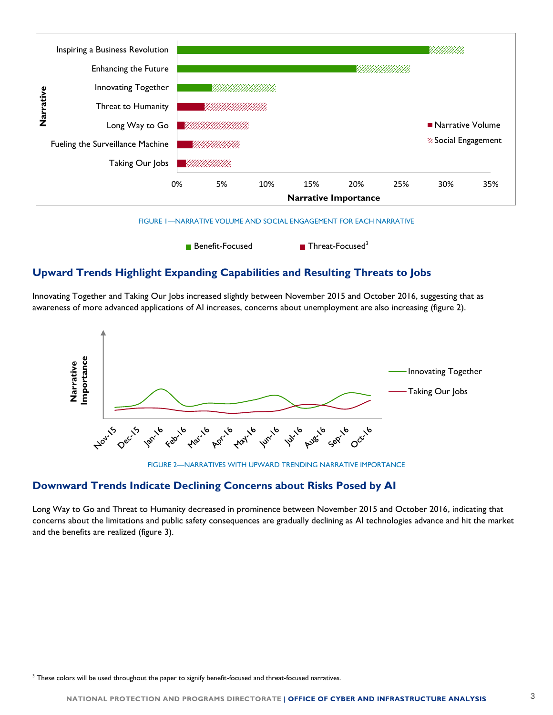

■ Benefit-Focused Threat-Focused<sup>3</sup>

# **Upward Trends Highlight Expanding Capabilities and Resulting Threats to Jobs**

Innovating Together and Taking Our Jobs increased slightly between November 2015 and October 2016, suggesting that as awareness of more advanced applications of AI increases, concerns about unemployment are also increasing (figure 2).



FIGURE 2—NARRATIVES WITH UPWARD TRENDING NARRATIVE IMPORTANCE

### **Downward Trends Indicate Declining Concerns about Risks Posed by AI**

Long Way to Go and Threat to Humanity decreased in prominence between November 2015 and October 2016, indicating that concerns about the limitations and public safety consequences are gradually declining as AI technologies advance and hit the market and the benefits are realized (figure 3).

<sup>&</sup>lt;sup>3</sup> These colors will be used throughout the paper to signify benefit-focused and threat-focused narratives.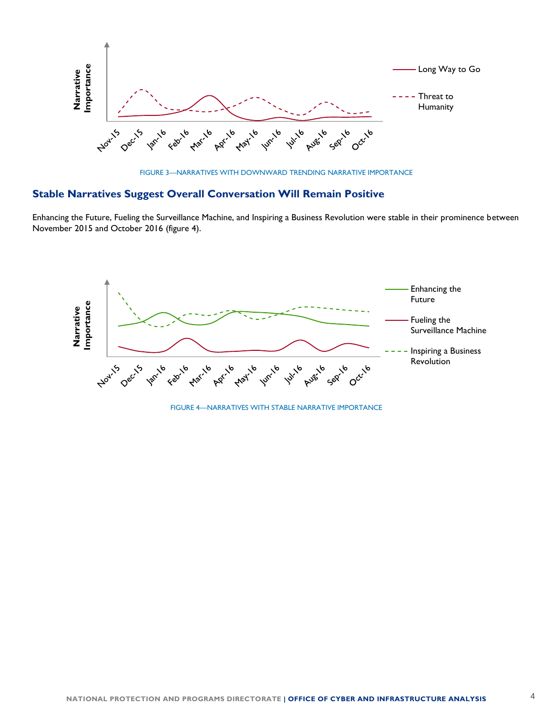

FIGURE 3—NARRATIVES WITH DOWNWARD TRENDING NARRATIVE IMPORTANCE

# **Stable Narratives Suggest Overall Conversation Will Remain Positive**

Enhancing the Future, Fueling the Surveillance Machine, and Inspiring a Business Revolution were stable in their prominence between November 2015 and October 2016 (figure 4).



FIGURE 4—NARRATIVES WITH STABLE NARRATIVE IMPORTANCE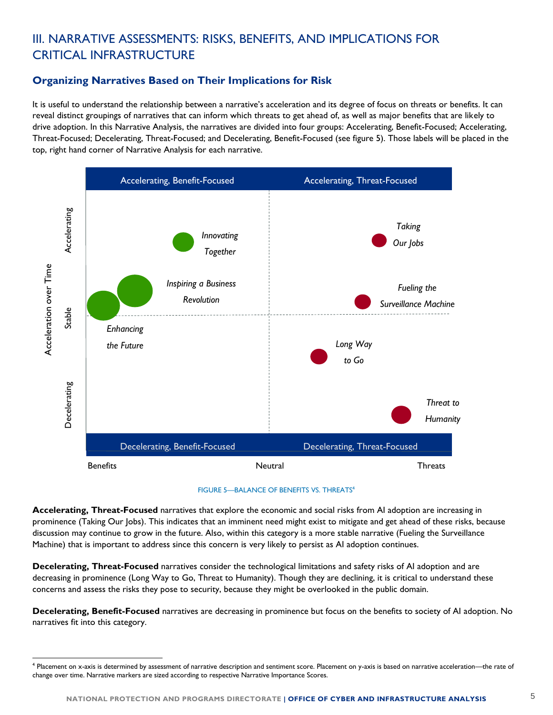# III. NARRATIVE ASSESSMENTS: RISKS, BENEFITS, AND IMPLICATIONS FOR CRITICAL INFRASTRUCTURE

### **Organizing Narratives Based on Their Implications for Risk**

It is useful to understand the relationship between a narrative's acceleration and its degree of focus on threats or benefits. It can reveal distinct groupings of narratives that can inform which threats to get ahead of, as well as major benefits that are likely to drive adoption. In this Narrative Analysis, the narratives are divided into four groups: Accelerating, Benefit-Focused; Accelerating, Threat-Focused; Decelerating, Threat-Focused; and Decelerating, Benefit-Focused (see figure 5). Those labels will be placed in the top, right hand corner of Narrative Analysis for each narrative.



#### FIGURE 5-BALANCE OF BENEFITS VS. THREATS<sup>4</sup>

**Accelerating, Threat-Focused** narratives that explore the economic and social risks from AI adoption are increasing in prominence (Taking Our Jobs). This indicates that an imminent need might exist to mitigate and get ahead of these risks, because discussion may continue to grow in the future. Also, within this category is a more stable narrative (Fueling the Surveillance Machine) that is important to address since this concern is very likely to persist as AI adoption continues.

**Decelerating, Threat-Focused** narratives consider the technological limitations and safety risks of AI adoption and are decreasing in prominence (Long Way to Go, Threat to Humanity). Though they are declining, it is critical to understand these concerns and assess the risks they pose to security, because they might be overlooked in the public domain.

**Decelerating, Benefit-Focused** narratives are decreasing in prominence but focus on the benefits to society of AI adoption. No narratives fit into this category.

<sup>4</sup> Placement on x-axis is determined by assessment of narrative description and sentiment score. Placement on y-axis is based on narrative acceleration—the rate of change over time. Narrative markers are sized according to respective Narrative Importance Scores.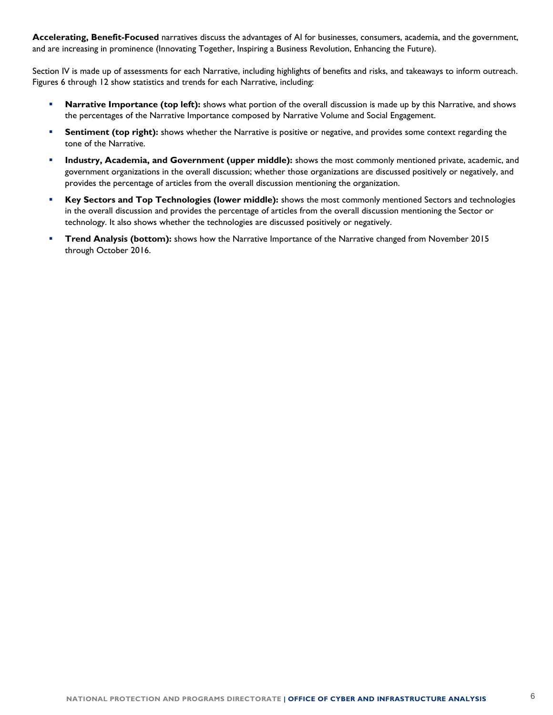**Accelerating, Benefit-Focused** narratives discuss the advantages of AI for businesses, consumers, academia, and the government, and are increasing in prominence (Innovating Together, Inspiring a Business Revolution, Enhancing the Future).

Section IV is made up of assessments for each Narrative, including highlights of benefits and risks, and takeaways to inform outreach. Figures 6 through 12 show statistics and trends for each Narrative, including:

- **Narrative Importance (top left):** shows what portion of the overall discussion is made up by this Narrative, and shows the percentages of the Narrative Importance composed by Narrative Volume and Social Engagement.
- **Sentiment (top right):** shows whether the Narrative is positive or negative, and provides some context regarding the tone of the Narrative.
- **Industry, Academia, and Government (upper middle):** shows the most commonly mentioned private, academic, and government organizations in the overall discussion; whether those organizations are discussed positively or negatively, and provides the percentage of articles from the overall discussion mentioning the organization.
- **Key Sectors and Top Technologies (lower middle):** shows the most commonly mentioned Sectors and technologies in the overall discussion and provides the percentage of articles from the overall discussion mentioning the Sector or technology. It also shows whether the technologies are discussed positively or negatively.
- **Trend Analysis (bottom):** shows how the Narrative Importance of the Narrative changed from November 2015 through October 2016.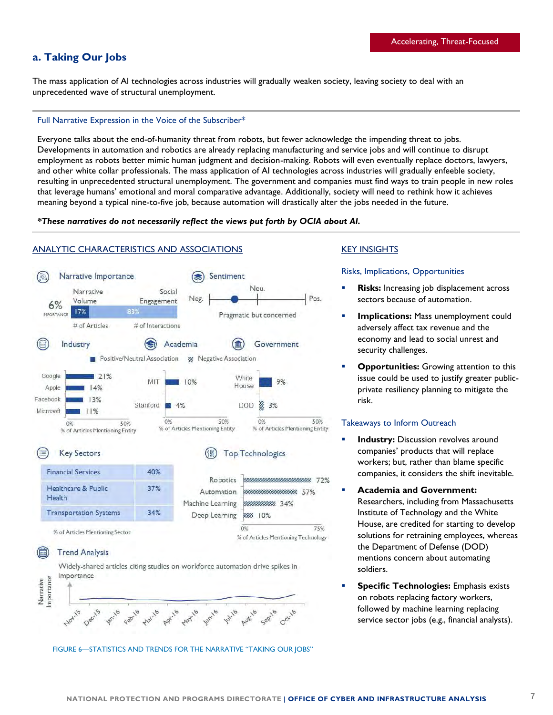### **a. Taking Our Jobs**

The mass application of AI technologies across industries will gradually weaken society, leaving society to deal with an unprecedented wave of structural unemployment.

#### Full Narrative Expression in the Voice of the Subscriber\*

Everyone talks about the end-of-humanity threat from robots, but fewer acknowledge the impending threat to jobs. Developments in automation and robotics are already replacing manufacturing and service jobs and will continue to disrupt employment as robots better mimic human judgment and decision-making. Robots will even eventually replace doctors, lawyers, and other white collar professionals. The mass application of AI technologies across industries will gradually enfeeble society, resulting in unprecedented structural unemployment. The government and companies must find ways to train people in new roles that leverage humans' emotional and moral comparative advantage. Additionally, society will need to rethink how it achieves meaning beyond a typical nine-to-five job, because automation will drastically alter the jobs needed in the future.

#### *\*These narratives do not necessarily reflect the views put forth by OCIA about AI.*



#### FIGURE 6—STATISTICS AND TRENDS FOR THE NARRATIVE "TAKING OUR JOBS"

#### KEY INSIGHTS

#### Risks, Implications, Opportunities

- **Risks:** Increasing job displacement across sectors because of automation.
- **Implications:** Mass unemployment could adversely affect tax revenue and the economy and lead to social unrest and security challenges.
- **Opportunities:** Growing attention to this issue could be used to justify greater publicprivate resiliency planning to mitigate the risk.

- **Industry:** Discussion revolves around companies' products that will replace workers; but, rather than blame specific companies, it considers the shift inevitable.
- **Academia and Government:** Researchers, including from Massachusetts Institute of Technology and the White House, are credited for starting to develop solutions for retraining employees, whereas the Department of Defense (DOD) mentions concern about automating soldiers.
- **Specific Technologies:** Emphasis exists on robots replacing factory workers, followed by machine learning replacing service sector jobs (e.g., financial analysts).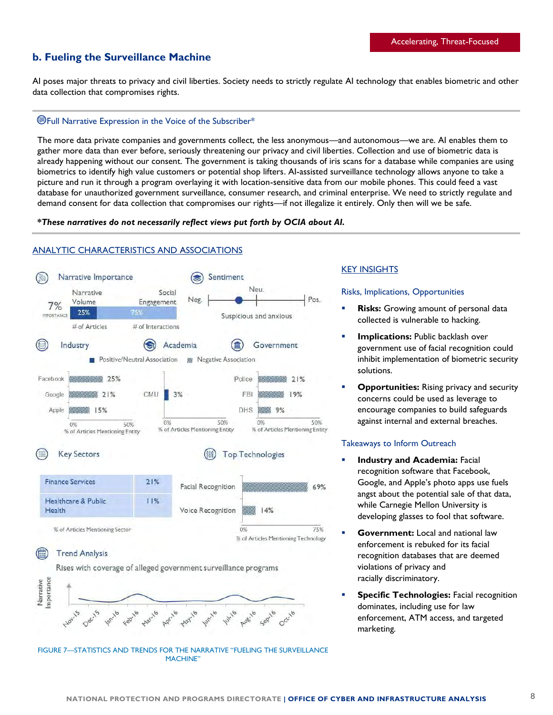### **b. Fueling the Surveillance Machine**

AI poses major threats to privacy and civil liberties. Society needs to strictly regulate AI technology that enables biometric and other data collection that compromises rights.

#### Full Narrative Expression in the Voice of the Subscriber\*

The more data private companies and governments collect, the less anonymous—and autonomous—we are. AI enables them to gather more data than ever before, seriously threatening our privacy and civil liberties. Collection and use of biometric data is already happening without our consent. The government is taking thousands of iris scans for a database while companies are using biometrics to identify high value customers or potential shop lifters. AI-assisted surveillance technology allows anyone to take a picture and run it through a program overlaying it with location-sensitive data from our mobile phones. This could feed a vast database for unauthorized government surveillance, consumer research, and criminal enterprise. We need to strictly regulate and demand consent for data collection that compromises our rights—if not illegalize it entirely. Only then will we be safe.

#### **\****These narratives do not necessarily reflect views put forth by OCIA about AI.*

#### ANALYTIC CHARACTERISTICS AND ASSOCIATIONS



FIGURE 7—STATISTICS AND TRENDS FOR THE NARRATIVE "FUELING THE SURVEILLANCE MACHINE"

#### KEY INSIGHTS

#### Risks, Implications, Opportunities

- **Risks:** Growing amount of personal data collected is vulnerable to hacking.
- **Implications:** Public backlash over government use of facial recognition could inhibit implementation of biometric security solutions.
- **Opportunities:** Rising privacy and security concerns could be used as leverage to encourage companies to build safeguards against internal and external breaches.

- **Industry and Academia:** Facial recognition software that Facebook, Google, and Apple's photo apps use fuels angst about the potential sale of that data, while Carnegie Mellon University is developing glasses to fool that software.
- **Government:** Local and national law enforcement is rebuked for its facial recognition databases that are deemed violations of privacy and racially discriminatory.
- **Specific Technologies:** Facial recognition dominates, including use for law enforcement, ATM access, and targeted marketing.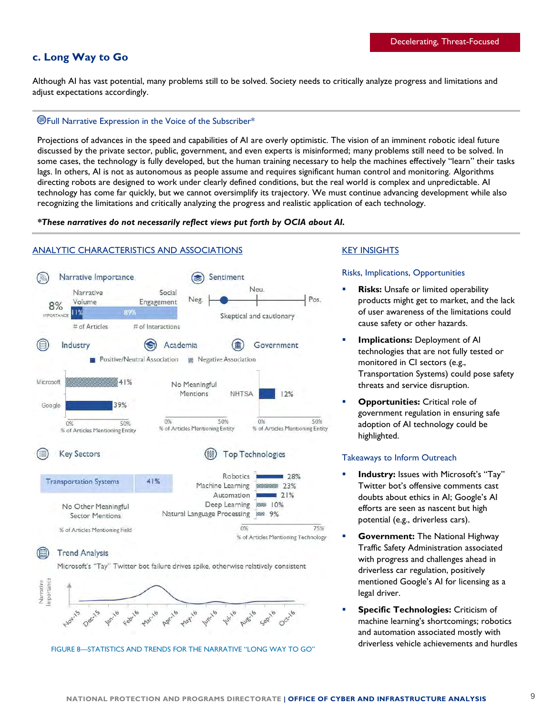### **c. Long Way to Go**

Although AI has vast potential, many problems still to be solved. Society needs to critically analyze progress and limitations and adjust expectations accordingly.

#### Full Narrative Expression in the Voice of the Subscriber\*

Projections of advances in the speed and capabilities of AI are overly optimistic. The vision of an imminent robotic ideal future discussed by the private sector, public, government, and even experts is misinformed; many problems still need to be solved. In some cases, the technology is fully developed, but the human training necessary to help the machines effectively "learn" their tasks lags. In others, AI is not as autonomous as people assume and requires significant human control and monitoring. Algorithms directing robots are designed to work under clearly defined conditions, but the real world is complex and unpredictable. AI technology has come far quickly, but we cannot oversimplify its trajectory. We must continue advancing development while also recognizing the limitations and critically analyzing the progress and realistic application of each technology.

#### *\*These narratives do not necessarily reflect views put forth by OCIA about AI.*





KEY INSIGHTS

#### Risks, Implications, Opportunities

- **Risks:** Unsafe or limited operability products might get to market, and the lack of user awareness of the limitations could cause safety or other hazards.
- **Implications:** Deployment of AI technologies that are not fully tested or monitored in CI sectors (e.g., Transportation Systems) could pose safety threats and service disruption.
- **Opportunities:** Critical role of government regulation in ensuring safe adoption of AI technology could be highlighted.

- **Industry:** Issues with Microsoft's "Tay" Twitter bot's offensive comments cast doubts about ethics in AI; Google's AI efforts are seen as nascent but high potential (e.g., driverless cars).
- **Government:** The National Highway Traffic Safety Administration associated with progress and challenges ahead in driverless car regulation, positively mentioned Google's AI for licensing as a legal driver.
- **Specific Technologies:** Criticism of machine learning's shortcomings; robotics and automation associated mostly with driverless vehicle achievements and hurdles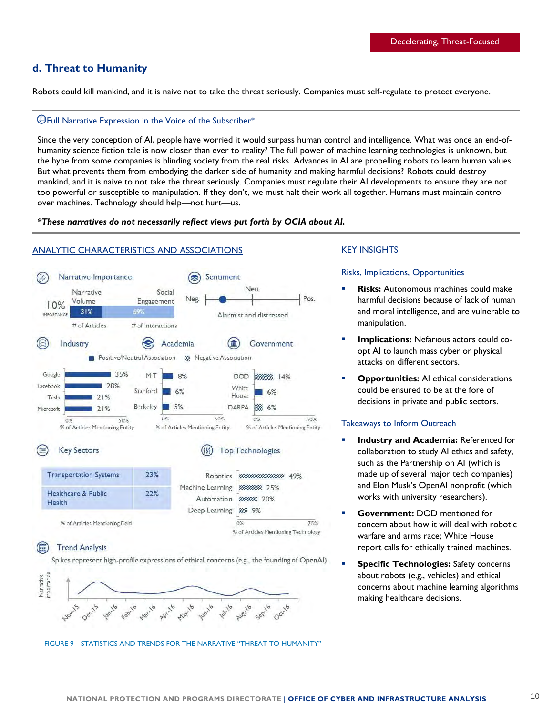### **d. Threat to Humanity**

Robots could kill mankind, and it is naive not to take the threat seriously. Companies must self-regulate to protect everyone.

#### Full Narrative Expression in the Voice of the Subscriber\*

Since the very conception of AI, people have worried it would surpass human control and intelligence. What was once an end-ofhumanity science fiction tale is now closer than ever to reality? The full power of machine learning technologies is unknown, but the hype from some companies is blinding society from the real risks. Advances in AI are propelling robots to learn human values. But what prevents them from embodying the darker side of humanity and making harmful decisions? Robots could destroy mankind, and it is naive to not take the threat seriously. Companies must regulate their AI developments to ensure they are not too powerful or susceptible to manipulation. If they don't, we must halt their work all together. Humans must maintain control over machines. Technology should help—not hurt—us.

#### *\*These narratives do not necessarily reflect views put forth by OCIA about AI.*





FIGURE 9—STATISTICS AND TRENDS FOR THE NARRATIVE "THREAT TO HUMANITY"

#### KEY INSIGHTS

#### Risks, Implications, Opportunities

- **Risks:** Autonomous machines could make harmful decisions because of lack of human and moral intelligence, and are vulnerable to manipulation.
- **Implications:** Nefarious actors could coopt AI to launch mass cyber or physical attacks on different sectors.
- **Opportunities:** AI ethical considerations could be ensured to be at the fore of decisions in private and public sectors.

- **Industry and Academia:** Referenced for collaboration to study AI ethics and safety, such as the Partnership on AI (which is made up of several major tech companies) and Elon Musk's OpenAI nonprofit (which works with university researchers).
- **Government:** DOD mentioned for concern about how it will deal with robotic warfare and arms race; White House report calls for ethically trained machines.
	- **Specific Technologies:** Safety concerns about robots (e.g., vehicles) and ethical concerns about machine learning algorithms making healthcare decisions.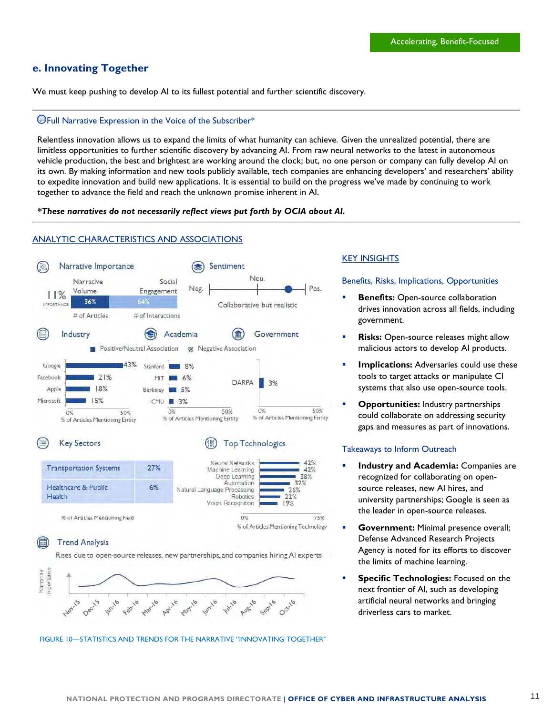### **e. Innovating Together**

We must keep pushing to develop AI to its fullest potential and further scientific discovery.

#### Full Narrative Expression in the Voice of the Subscriber\*

Relentless innovation allows us to expand the limits of what humanity can achieve. Given the unrealized potential, there are limitless opportunities to further scientific discovery by advancing AI. From raw neural networks to the latest in autonomous vehicle production, the best and brightest are working around the clock; but, no one person or company can fully develop AI on its own. By making information and new tools publicly available, tech companies are enhancing developers' and researchers' ability to expedite innovation and build new applications. It is essential to build on the progress we've made by continuing to work together to advance the field and reach the unknown promise inherent in AI.

#### *\*These narratives do not necessarily reflect views put forth by OCIA about AI.*

#### ANALYTIC CHARACTERISTICS AND ASSOCIATIONS



FIGURE 10—STATISTICS AND TRENDS FOR THE NARRATIVE "INNOVATING TOGETHER"

#### KEY INSIGHTS

#### Benefits, Risks, Implications, Opportunities

- **Benefits:** Open-source collaboration drives innovation across all fields, including government.
- **Risks:** Open-source releases might allow malicious actors to develop AI products.
- **Implications:** Adversaries could use these tools to target attacks or manipulate CI systems that also use open-source tools.
- **Opportunities:** Industry partnerships could collaborate on addressing security gaps and measures as part of innovations.

- **Industry and Academia:** Companies are recognized for collaborating on opensource releases, new AI hires, and university partnerships; Google is seen as the leader in open-source releases.
- **Government:** Minimal presence overall; Defense Advanced Research Projects Agency is noted for its efforts to discover the limits of machine learning.
- **Specific Technologies:** Focused on the next frontier of AI, such as developing artificial neural networks and bringing driverless cars to market.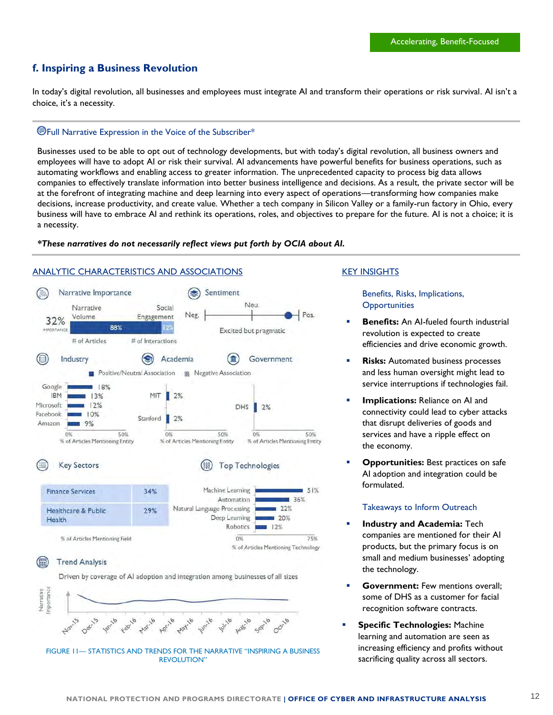### **f. Inspiring a Business Revolution**

In today's digital revolution, all businesses and employees must integrate AI and transform their operations or risk survival. AI isn't a choice, it's a necessity.

#### Full Narrative Expression in the Voice of the Subscriber\*

Businesses used to be able to opt out of technology developments, but with today's digital revolution, all business owners and employees will have to adopt AI or risk their survival. AI advancements have powerful benefits for business operations, such as automating workflows and enabling access to greater information. The unprecedented capacity to process big data allows companies to effectively translate information into better business intelligence and decisions. As a result, the private sector will be at the forefront of integrating machine and deep learning into every aspect of operations—transforming how companies make decisions, increase productivity, and create value. Whether a tech company in Silicon Valley or a family-run factory in Ohio, every business will have to embrace AI and rethink its operations, roles, and objectives to prepare for the future. AI is not a choice; it is a necessity.

#### *\*These narratives do not necessarily reflect views put forth by OCIA about AI.*



FIGURE 11— STATISTICS AND TRENDS FOR THE NARRATIVE "INSPIRING A BUSINESS REVOLUTION"

#### KEY INSIGHTS

#### Benefits, Risks, Implications, **Opportunities**

- **Benefits:** An AI-fueled fourth industrial revolution is expected to create efficiencies and drive economic growth.
- **Risks:** Automated business processes and less human oversight might lead to service interruptions if technologies fail.
- **Implications:** Reliance on AI and connectivity could lead to cyber attacks that disrupt deliveries of goods and services and have a ripple effect on the economy.
- **Opportunities:** Best practices on safe AI adoption and integration could be formulated.

- **Industry and Academia:** Tech companies are mentioned for their AI products, but the primary focus is on small and medium businesses' adopting the technology.
- **Government:** Few mentions overall; some of DHS as a customer for facial recognition software contracts.
- **Specific Technologies:** Machine learning and automation are seen as increasing efficiency and profits without sacrificing quality across all sectors.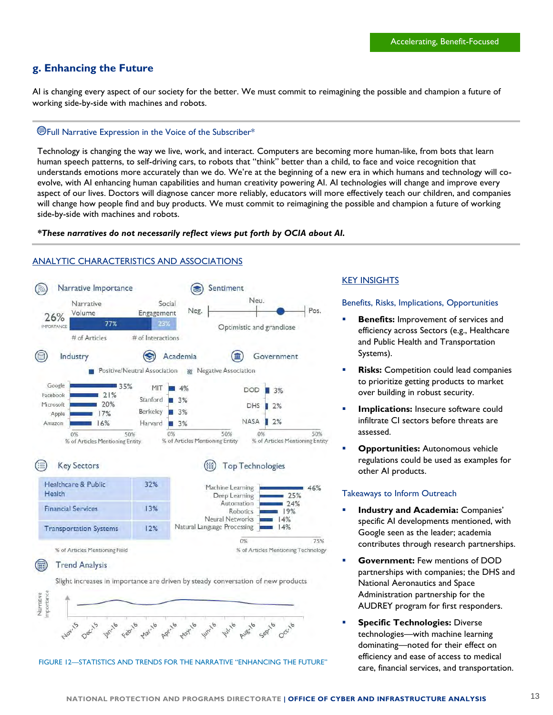### **g. Enhancing the Future**

AI is changing every aspect of our society for the better. We must commit to reimagining the possible and champion a future of working side-by-side with machines and robots.

#### Full Narrative Expression in the Voice of the Subscriber\*

Technology is changing the way we live, work, and interact. Computers are becoming more human-like, from bots that learn human speech patterns, to self-driving cars, to robots that "think" better than a child, to face and voice recognition that understands emotions more accurately than we do. We're at the beginning of a new era in which humans and technology will coevolve, with AI enhancing human capabilities and human creativity powering AI. AI technologies will change and improve every aspect of our lives. Doctors will diagnose cancer more reliably, educators will more effectively teach our children, and companies will change how people find and buy products. We must commit to reimagining the possible and champion a future of working side-by-side with machines and robots.

#### *\*These narratives do not necessarily reflect views put forth by OCIA about AI.*

#### ANALYTIC CHARACTERISTICS AND ASSOCIATIONS



FIGURE 12—STATISTICS AND TRENDS FOR THE NARRATIVE "ENHANCING THE FUTURE"

#### KEY INSIGHTS

#### Benefits, Risks, Implications, Opportunities

- **Benefits:** Improvement of services and efficiency across Sectors (e.g., Healthcare and Public Health and Transportation Systems).
- **Risks:** Competition could lead companies to prioritize getting products to market over building in robust security.
- **Implications:** Insecure software could infiltrate CI sectors before threats are assessed.
- **Opportunities:** Autonomous vehicle regulations could be used as examples for other AI products.

- **Industry and Academia:** Companies' specific AI developments mentioned, with Google seen as the leader; academia contributes through research partnerships.
- **Government:** Few mentions of DOD partnerships with companies; the DHS and National Aeronautics and Space Administration partnership for the AUDREY program for first responders.
- **Specific Technologies:** Diverse technologies—with machine learning dominating—noted for their effect on efficiency and ease of access to medical care, financial services, and transportation.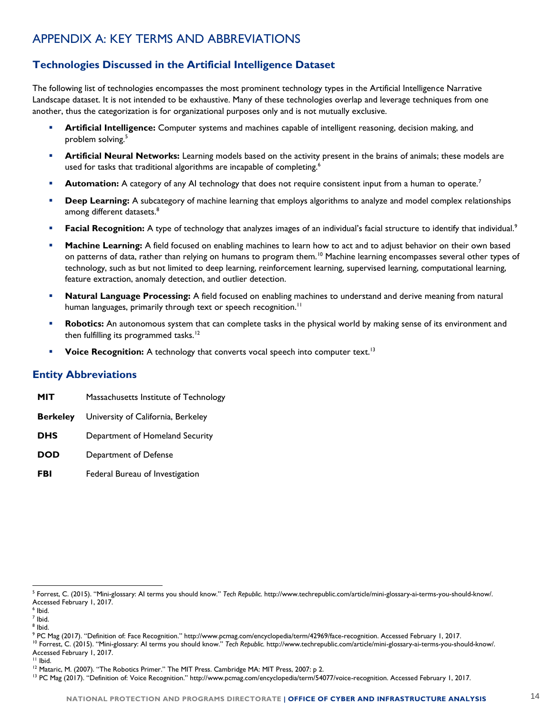# APPENDIX A: KEY TERMS AND ABBREVIATIONS

# **Technologies Discussed in the Artificial Intelligence Dataset**

The following list of technologies encompasses the most prominent technology types in the Artificial Intelligence Narrative Landscape dataset. It is not intended to be exhaustive. Many of these technologies overlap and leverage techniques from one another, thus the categorization is for organizational purposes only and is not mutually exclusive.

- **Artificial Intelligence:** Computer systems and machines capable of intelligent reasoning, decision making, and problem solving.<sup>5</sup>
- **Artificial Neural Networks:** Learning models based on the activity present in the brains of animals; these models are used for tasks that traditional algorithms are incapable of completing.<sup>6</sup>
- **Automation:** A category of any AI technology that does not require consistent input from a human to operate.<sup>7</sup>
- **Deep Learning:** A subcategory of machine learning that employs algorithms to analyze and model complex relationships among different datasets.<sup>8</sup>
- **Facial Recognition:** A type of technology that analyzes images of an individual's facial structure to identify that individual.<sup>9</sup>
- **Machine Learning:** A field focused on enabling machines to learn how to act and to adjust behavior on their own based on patterns of data, rather than relying on humans to program them.<sup>10</sup> Machine learning encompasses several other types of technology, such as but not limited to deep learning, reinforcement learning, supervised learning, computational learning, feature extraction, anomaly detection, and outlier detection.
- **Natural Language Processing:** A field focused on enabling machines to understand and derive meaning from natural human languages, primarily through text or speech recognition.<sup>11</sup>
- **Robotics:** An autonomous system that can complete tasks in the physical world by making sense of its environment and then fulfilling its programmed tasks.<sup>12</sup>
- **Voice Recognition:** A technology that converts vocal speech into computer text.<sup>13</sup>

### **Entity Abbreviations**

| <b>MIT</b> | Massachusetts Institute of Technology              |  |  |  |
|------------|----------------------------------------------------|--|--|--|
|            | <b>Berkeley</b> University of California, Berkeley |  |  |  |
| <b>DHS</b> | Department of Homeland Security                    |  |  |  |

- **DOD** Department of Defense
- **FBI** Federal Bureau of Investigation

<sup>5</sup> Forrest, C. (2015). "Mini-glossary: AI terms you should know." *Tech Republic.* http://www.techrepublic.com/article/mini-glossary-ai-terms-you-should-know/. Accessed February 1, 2017.

<sup>6</sup> Ibid.

<sup>7</sup> Ibid.

<sup>&</sup>lt;sup>8</sup> Ibid.

<sup>9</sup> PC Mag (2017). "Definition of: Face Recognition." http://www.pcmag.com/encyclopedia/term/42969/face-recognition. Accessed February 1, 2017.

<sup>10</sup> Forrest, C. (2015). "Mini-glossary: AI terms you should know." *Tech Republic.* http://www.techrepublic.com/article/mini-glossary-ai-terms-you-should-know/. Accessed February 1, 2017.

<sup>11</sup> Ibid.

<sup>&</sup>lt;sup>12</sup> Mataric, M. (2007). "The Robotics Primer." The MIT Press. Cambridge MA: MIT Press, 2007: p 2.

<sup>&</sup>lt;sup>13</sup> PC Mag (2017). "Definition of: Voice Recognition." http://www.pcmag.com/encyclopedia/term/54077/voice-recognition. Accessed February 1, 2017.